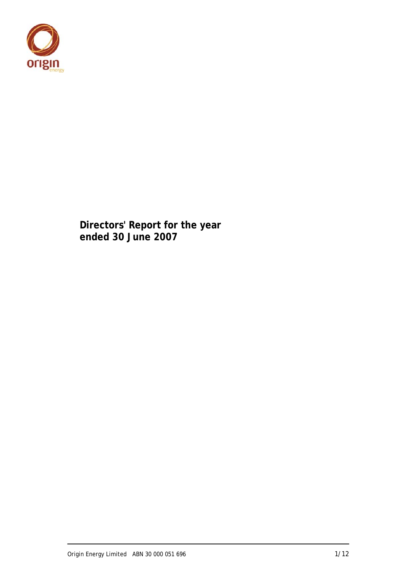

**Directors' Report for the year ended 30 June 2007**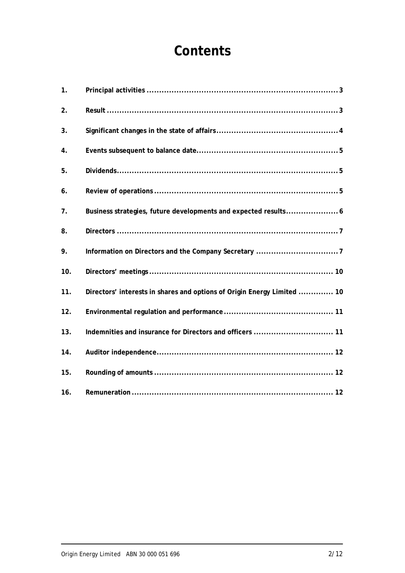# **Contents**

| 1.  |                                                                         |
|-----|-------------------------------------------------------------------------|
| 2.  |                                                                         |
| 3.  |                                                                         |
| 4.  |                                                                         |
| 5.  |                                                                         |
| 6.  |                                                                         |
| 7.  |                                                                         |
| 8.  |                                                                         |
| 9.  |                                                                         |
| 10. |                                                                         |
| 11. | Directors' interests in shares and options of Origin Energy Limited  10 |
| 12. |                                                                         |
| 13. |                                                                         |
| 14. |                                                                         |
| 15. |                                                                         |
| 16. |                                                                         |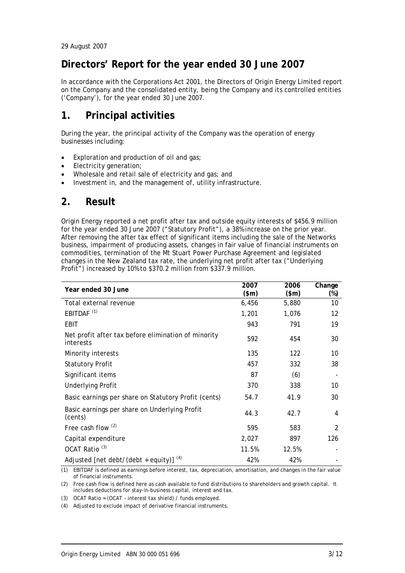### **Directors' Report for the year ended 30 June 2007**

In accordance with the Corporations Act 2001, the Directors of Origin Energy Limited report on the Company and the consolidated entity, being the Company and its controlled entities ('Company'), for the year ended 30 June 2007.

### **1. Principal activities**

During the year, the principal activity of the Company was the operation of energy businesses including:

- Exploration and production of oil and gas;
- Electricity generation;
- Wholesale and retail sale of electricity and gas; and
- Investment in, and the management of, utility infrastructure.

### **2. Result**

Origin Energy reported a net profit after tax and outside equity interests of \$456.9 million for the year ended 30 June 2007 ("Statutory Profit"), a 38% increase on the prior year. After removing the after tax effect of significant items including the sale of the Networks business, impairment of producing assets, changes in fair value of financial instruments on commodities, termination of the Mt Stuart Power Purchase Agreement and legislated changes in the New Zealand tax rate, the underlying net profit after tax ("Underlying Profit") increased by 10% to \$370.2 million from \$337.9 million.

| Year ended 30 June                                               | 2007<br>(\$m) | 2006<br>(\$m) | Change<br>$(\%)$ |
|------------------------------------------------------------------|---------------|---------------|------------------|
| Total external revenue                                           | 6,456         | 5,880         | 10               |
| EBITDAF <sup>(1)</sup>                                           | 1,201         | 1,076         | 12               |
| EBIT                                                             | 943           | 791           | 19               |
| Net profit after tax before elimination of minority<br>interests | 592           | 454           | 30               |
| Minority interests                                               | 135           | 122           | 10               |
| <b>Statutory Profit</b>                                          | 457           | 332           | 38               |
| Significant items                                                | 87            | (6)           |                  |
| <b>Underlying Profit</b>                                         | 370           | 338           | 10               |
| Basic earnings per share on Statutory Profit (cents)             | 54.7          | 41.9          | 30               |
| Basic earnings per share on Underlying Profit<br>(cents)         | 44.3          | 42.7          | 4                |
| Free cash flow <sup>(2)</sup>                                    | 595           | 583           | $\overline{2}$   |
| Capital expenditure                                              | 2,027         | 897           | 126              |
| OCAT Ratio <sup>(3)</sup>                                        | 11.5%         | 12.5%         |                  |
| Adjusted [net debt/(debt + equity)]                              | 42%           | 42%           |                  |

(1) EBITDAF is defined as earnings before interest, tax, depreciation, amortisation, and changes in the fair value of financial instruments.

(2) Free cash flow is defined here as cash available to fund distributions to shareholders and growth capital. It includes deductions for stay-in-business capital, interest and tax.

(3) OCAT Ratio = (OCAT – interest tax shield) / funds employed.

(4) Adjusted to exclude impact of derivative financial instruments.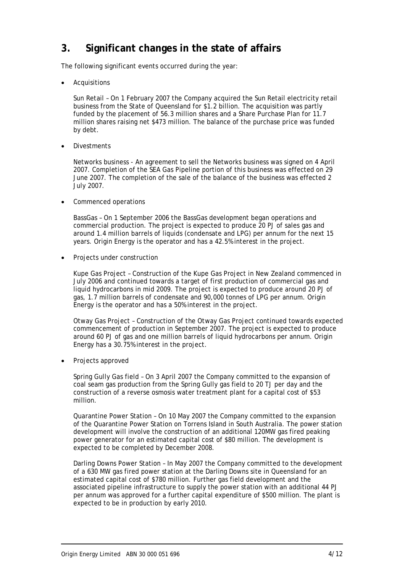### **3. Significant changes in the state of affairs**

The following significant events occurred during the year:

**Acquisitions** 

Sun Retail – On 1 February 2007 the Company acquired the Sun Retail electricity retail business from the State of Queensland for \$1.2 billion. The acquisition was partly funded by the placement of 56.3 million shares and a Share Purchase Plan for 11.7 million shares raising net \$473 million. The balance of the purchase price was funded by debt.

• Divestments

Networks business - An agreement to sell the Networks business was signed on 4 April 2007. Completion of the SEA Gas Pipeline portion of this business was effected on 29 June 2007. The completion of the sale of the balance of the business was effected 2 July 2007.

• Commenced operations

BassGas – On 1 September 2006 the BassGas development began operations and commercial production. The project is expected to produce 20 PJ of sales gas and around 1.4 million barrels of liquids (condensate and LPG) per annum for the next 15 years. Origin Energy is the operator and has a 42.5% interest in the project.

Projects under construction

Kupe Gas Project – Construction of the Kupe Gas Project in New Zealand commenced in July 2006 and continued towards a target of first production of commercial gas and liquid hydrocarbons in mid 2009. The project is expected to produce around 20 PJ of gas, 1.7 million barrels of condensate and 90,000 tonnes of LPG per annum. Origin Energy is the operator and has a 50% interest in the project.

Otway Gas Project – Construction of the Otway Gas Project continued towards expected commencement of production in September 2007. The project is expected to produce around 60 PJ of gas and one million barrels of liquid hydrocarbons per annum. Origin Energy has a 30.75% interest in the project.

• Projects approved

Spring Gully Gas field – On 3 April 2007 the Company committed to the expansion of coal seam gas production from the Spring Gully gas field to 20 TJ per day and the construction of a reverse osmosis water treatment plant for a capital cost of \$53 million.

Quarantine Power Station – On 10 May 2007 the Company committed to the expansion of the Quarantine Power Station on Torrens Island in South Australia. The power station development will involve the construction of an additional 120MW gas fired peaking power generator for an estimated capital cost of \$80 million. The development is expected to be completed by December 2008.

Darling Downs Power Station – In May 2007 the Company committed to the development of a 630 MW gas fired power station at the Darling Downs site in Queensland for an estimated capital cost of \$780 million. Further gas field development and the associated pipeline infrastructure to supply the power station with an additional 44 PJ per annum was approved for a further capital expenditure of \$500 million. The plant is expected to be in production by early 2010.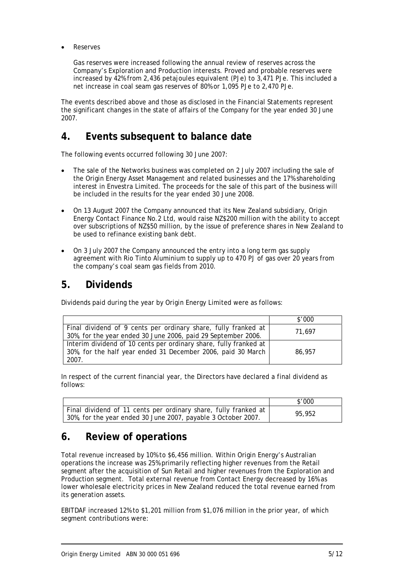**Reserves** 

Gas reserves were increased following the annual review of reserves across the Company's Exploration and Production interests. Proved and probable reserves were increased by 42% from 2,436 petajoules equivalent (PJe) to 3,471 PJe. This included a net increase in coal seam gas reserves of 80% or 1,095 PJe to 2,470 PJe.

The events described above and those as disclosed in the Financial Statements represent the significant changes in the state of affairs of the Company for the year ended 30 June 2007.

### **4. Events subsequent to balance date**

The following events occurred following 30 June 2007:

- The sale of the Networks business was completed on 2 July 2007 including the sale of the Origin Energy Asset Management and related businesses and the 17% shareholding interest in Envestra Limited. The proceeds for the sale of this part of the business will be included in the results for the year ended 30 June 2008.
- On 13 August 2007 the Company announced that its New Zealand subsidiary, Origin Energy Contact Finance No.2 Ltd, would raise NZ\$200 million with the ability to accept over subscriptions of NZ\$50 million, by the issue of preference shares in New Zealand to be used to refinance existing bank debt.
- On 3 July 2007 the Company announced the entry into a long term gas supply agreement with Rio Tinto Aluminium to supply up to 470 PJ of gas over 20 years from the company's coal seam gas fields from 2010.

### **5. Dividends**

Dividends paid during the year by Origin Energy Limited were as follows:

|                                                                   | \$'000 |
|-------------------------------------------------------------------|--------|
| Final dividend of 9 cents per ordinary share, fully franked at    | 71.697 |
| 30%, for the year ended 30 June 2006, paid 29 September 2006.     |        |
| Interim dividend of 10 cents per ordinary share, fully franked at |        |
| 30%, for the half year ended 31 December 2006, paid 30 March      | 86,957 |
| 2007.                                                             |        |

In respect of the current financial year, the Directors have declared a final dividend as follows:

|                                                                                                                                  | \$'000 |
|----------------------------------------------------------------------------------------------------------------------------------|--------|
| Final dividend of 11 cents per ordinary share, fully franked at<br>30%, for the year ended 30 June 2007, payable 3 October 2007. | 95.952 |

### **6. Review of operations**

Total revenue increased by 10% to \$6,456 million. Within Origin Energy's Australian operations the increase was 25% primarily reflecting higher revenues from the Retail segment after the acquisition of Sun Retail and higher revenues from the Exploration and Production segment. Total external revenue from Contact Energy decreased by 16% as lower wholesale electricity prices in New Zealand reduced the total revenue earned from its generation assets.

EBITDAF increased 12% to \$1,201 million from \$1,076 million in the prior year, of which segment contributions were: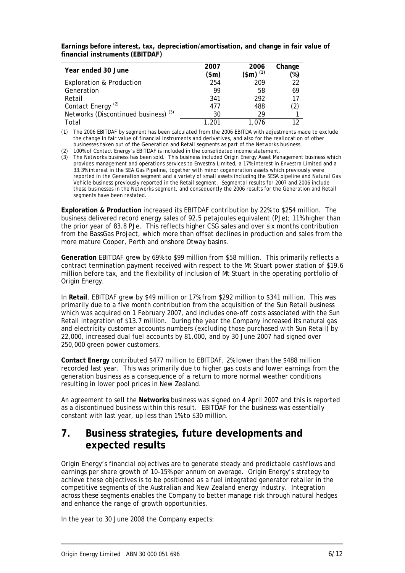**Earnings before interest, tax, depreciation/amortisation, and change in fair value of financial instruments (EBITDAF)** 

| Year ended 30 June                              | 2007<br>(\$m) | 2006<br>(\$m) <sup>(1)</sup> | Change<br>'%) |
|-------------------------------------------------|---------------|------------------------------|---------------|
| <b>Exploration &amp; Production</b>             | 254           | 209                          | 22            |
| Generation                                      | 99            | 58                           | 69            |
| Retail                                          | 341           | 292                          | 17            |
| Contact Energy <sup>(2)</sup>                   | 477           | 488                          | (2)           |
| Networks (Discontinued business) <sup>(3)</sup> | 30            | 29                           |               |
| Total                                           | 1.201         | 1.076                        | 1າ            |

(1) The 2006 EBITDAF by segment has been calculated from the 2006 EBITDA with adjustments made to exclude the change in fair value of financial instruments and derivatives, and also for the reallocation of other businesses taken out of the Generation and Retail segments as part of the Networks business.

(2) 100% of Contact Energy's EBITDAF is included in the consolidated income statement.

(3) The Networks business has been sold. This business included Origin Energy Asset Management business which provides management and operations services to Envestra Limited, a 17% interest in Envestra Limited and a 33.3% interest in the SEA Gas Pipeline, together with minor cogeneration assets which previously were reported in the Generation segment and a variety of small assets including the SESA pipeline and Natural Gas Vehicle business previously reported in the Retail segment. Segmental results for 2007 and 2006 include these businesses in the Networks segment, and consequently the 2006 results for the Generation and Retail segments have been restated.

**Exploration & Production** increased its EBITDAF contribution by 22% to \$254 million. The business delivered record energy sales of 92.5 petajoules equivalent (PJe); 11% higher than the prior year of 83.8 PJe. This reflects higher CSG sales and over six months contribution from the BassGas Project, which more than offset declines in production and sales from the more mature Cooper, Perth and onshore Otway basins.

**Generation** EBITDAF grew by 69% to \$99 million from \$58 million. This primarily reflects a contract termination payment received with respect to the Mt Stuart power station of \$19.6 million before tax, and the flexibility of inclusion of Mt Stuart in the operating portfolio of Origin Energy.

In **Retail**, EBITDAF grew by \$49 million or 17% from \$292 million to \$341 million. This was primarily due to a five month contribution from the acquisition of the Sun Retail business which was acquired on 1 February 2007, and includes one-off costs associated with the Sun Retail integration of \$13.7 million. During the year the Company increased its natural gas and electricity customer accounts numbers (excluding those purchased with Sun Retail) by 22,000, increased dual fuel accounts by 81,000, and by 30 June 2007 had signed over 250,000 green power customers.

**Contact Energy** contributed \$477 million to EBITDAF, 2% lower than the \$488 million recorded last year. This was primarily due to higher gas costs and lower earnings from the generation business as a consequence of a return to more normal weather conditions resulting in lower pool prices in New Zealand.

An agreement to sell the **Networks** business was signed on 4 April 2007 and this is reported as a discontinued business within this result. EBITDAF for the business was essentially constant with last year, up less than 1% to \$30 million.

### **7. Business strategies, future developments and expected results**

Origin Energy's financial objectives are to generate steady and predictable cashflows and earnings per share growth of 10-15% per annum on average. Origin Energy's strategy to achieve these objectives is to be positioned as a fuel integrated generator retailer in the competitive segments of the Australian and New Zealand energy industry. Integration across these segments enables the Company to better manage risk through natural hedges and enhance the range of growth opportunities.

In the year to 30 June 2008 the Company expects: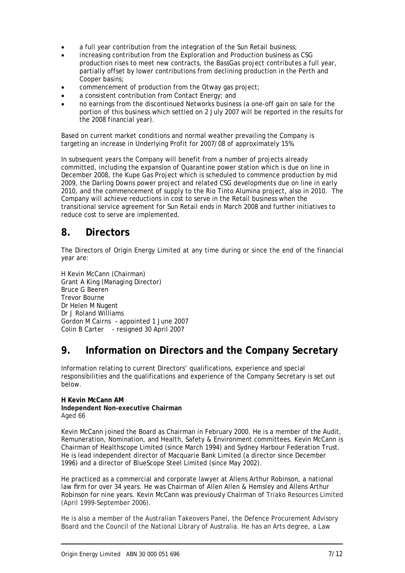- a full year contribution from the integration of the Sun Retail business;
- increasing contribution from the Exploration and Production business as CSG production rises to meet new contracts, the BassGas project contributes a full year, partially offset by lower contributions from declining production in the Perth and Cooper basins;
- commencement of production from the Otway gas project;
- a consistent contribution from Contact Energy; and
- no earnings from the discontinued Networks business (a one-off gain on sale for the portion of this business which settled on 2 July 2007 will be reported in the results for the 2008 financial year).

Based on current market conditions and normal weather prevailing the Company is targeting an increase in Underlying Profit for 2007/08 of approximately 15%.

In subsequent years the Company will benefit from a number of projects already committed, including the expansion of Quarantine power station which is due on line in December 2008, the Kupe Gas Project which is scheduled to commence production by mid 2009, the Darling Downs power project and related CSG developments due on line in early 2010, and the commencement of supply to the Rio Tinto Alumina project, also in 2010. The Company will achieve reductions in cost to serve in the Retail business when the transitional service agreement for Sun Retail ends in March 2008 and further initiatives to reduce cost to serve are implemented.

### **8. Directors**

The Directors of Origin Energy Limited at any time during or since the end of the financial year are:

H Kevin McCann (Chairman) Grant A King (Managing Director) Bruce G Beeren Trevor Bourne Dr Helen M Nugent Dr J Roland Williams Gordon M Cairns – appointed 1 June 2007 Colin B Carter - resigned 30 April 2007

### **9. Information on Directors and the Company Secretary**

Information relating to current Directors' qualifications, experience and special responsibilities and the qualifications and experience of the Company Secretary is set out below.

#### **H Kevin McCann AM Independent Non-executive Chairman**  Aged 66

Kevin McCann joined the Board as Chairman in February 2000. He is a member of the Audit, Remuneration, Nomination, and Health, Safety & Environment committees. Kevin McCann is Chairman of Healthscope Limited (since March 1994) and Sydney Harbour Federation Trust. He is lead independent director of Macquarie Bank Limited (a director since December 1996) and a director of BlueScope Steel Limited (since May 2002).

He practiced as a commercial and corporate lawyer at Allens Arthur Robinson, a national law firm for over 34 years. He was Chairman of Allen Allen & Hemsley and Allens Arthur Robinson for nine years. Kevin McCann was previously Chairman of Triako Resources Limited (April 1999-September 2006).

He is also a member of the Australian Takeovers Panel, the Defence Procurement Advisory Board and the Council of the National Library of Australia. He has an Arts degree, a Law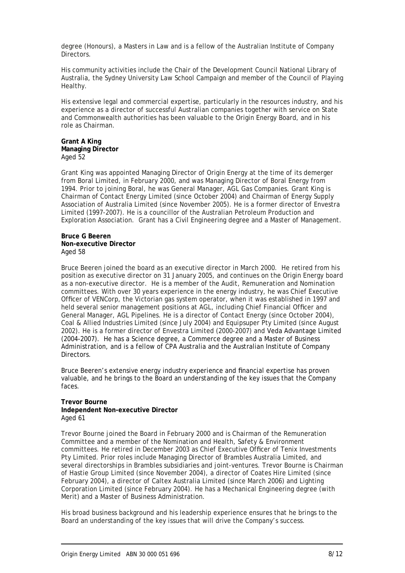degree (Honours), a Masters in Law and is a fellow of the Australian Institute of Company Directors.

His community activities include the Chair of the Development Council National Library of Australia, the Sydney University Law School Campaign and member of the Council of Playing Healthy.

His extensive legal and commercial expertise, particularly in the resources industry, and his experience as a director of successful Australian companies together with service on State and Commonwealth authorities has been valuable to the Origin Energy Board, and in his role as Chairman.

#### **Grant A King Managing Director**  Aged 52

Grant King was appointed Managing Director of Origin Energy at the time of its demerger from Boral Limited, in February 2000, and was Managing Director of Boral Energy from 1994. Prior to joining Boral, he was General Manager, AGL Gas Companies. Grant King is Chairman of Contact Energy Limited (since October 2004) and Chairman of Energy Supply Association of Australia Limited (since November 2005). He is a former director of Envestra Limited (1997-2007). He is a councillor of the Australian Petroleum Production and Exploration Association. Grant has a Civil Engineering degree and a Master of Management.

#### **Bruce G Beeren Non-executive Director**  Aged 58

Bruce Beeren joined the board as an executive director in March 2000. He retired from his position as executive director on 31 January 2005, and continues on the Origin Energy board as a non-executive director. He is a member of the Audit, Remuneration and Nomination committees. With over 30 years experience in the energy industry, he was Chief Executive Officer of VENCorp, the Victorian gas system operator, when it was established in 1997 and held several senior management positions at AGL, including Chief Financial Officer and General Manager, AGL Pipelines. He is a director of Contact Energy (since October 2004), Coal & Allied Industries Limited (since July 2004) and Equipsuper Pty Limited (since August 2002). He is a former director of Envestra Limited (2000-2007) and Veda Advantage Limited (2004-2007). He has a Science degree, a Commerce degree and a Master of Business Administration, and is a fellow of CPA Australia and the Australian Institute of Company Directors.

Bruce Beeren's extensive energy industry experience and financial expertise has proven valuable, and he brings to the Board an understanding of the key issues that the Company faces.

#### **Trevor Bourne Independent Non-executive Director**  Aged 61

Trevor Bourne joined the Board in February 2000 and is Chairman of the Remuneration Committee and a member of the Nomination and Health, Safety & Environment committees. He retired in December 2003 as Chief Executive Officer of Tenix Investments Pty Limited. Prior roles include Managing Director of Brambles Australia Limited, and several directorships in Brambles subsidiaries and joint-ventures. Trevor Bourne is Chairman of Hastie Group Limited (since November 2004), a director of Coates Hire Limited (since February 2004), a director of Caltex Australia Limited (since March 2006) and Lighting Corporation Limited (since February 2004). He has a Mechanical Engineering degree (with Merit) and a Master of Business Administration.

His broad business background and his leadership experience ensures that he brings to the Board an understanding of the key issues that will drive the Company's success.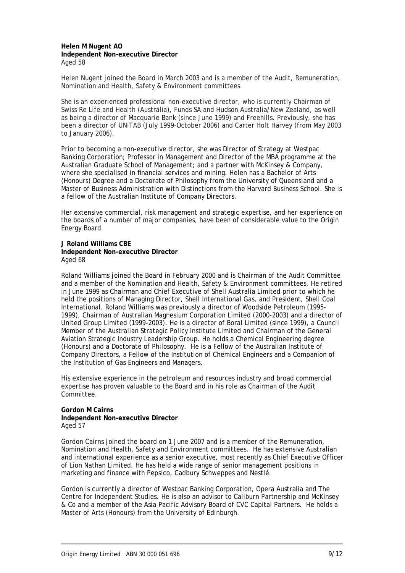#### **Helen M Nugent AO Independent Non-executive Director**  Aged 58

Helen Nugent joined the Board in March 2003 and is a member of the Audit, Remuneration, Nomination and Health, Safety & Environment committees.

She is an experienced professional non-executive director, who is currently Chairman of Swiss Re Life and Health (Australia), Funds SA and Hudson Australia/New Zealand, as well as being a director of Macquarie Bank (since June 1999) and Freehills. Previously, she has been a director of UNiTAB (July 1999-October 2006) and Carter Holt Harvey (from May 2003 to January 2006).

Prior to becoming a non-executive director, she was Director of Strategy at Westpac Banking Corporation; Professor in Management and Director of the MBA programme at the Australian Graduate School of Management; and a partner with McKinsey & Company, where she specialised in financial services and mining. Helen has a Bachelor of Arts (Honours) Degree and a Doctorate of Philosophy from the University of Queensland and a Master of Business Administration with Distinctions from the Harvard Business School. She is a fellow of the Australian Institute of Company Directors.

Her extensive commercial, risk management and strategic expertise, and her experience on the boards of a number of major companies, have been of considerable value to the Origin Energy Board.

#### **J Roland Williams CBE Independent Non-executive Director**  Aged 68

Roland Williams joined the Board in February 2000 and is Chairman of the Audit Committee and a member of the Nomination and Health, Safety & Environment committees. He retired in June 1999 as Chairman and Chief Executive of Shell Australia Limited prior to which he held the positions of Managing Director, Shell International Gas, and President, Shell Coal International. Roland Williams was previously a director of Woodside Petroleum (1995- 1999), Chairman of Australian Magnesium Corporation Limited (2000-2003) and a director of United Group Limited (1999-2003). He is a director of Boral Limited (since 1999), a Council Member of the Australian Strategic Policy Institute Limited and Chairman of the General Aviation Strategic Industry Leadership Group. He holds a Chemical Engineering degree (Honours) and a Doctorate of Philosophy. He is a Fellow of the Australian Institute of Company Directors, a Fellow of the Institution of Chemical Engineers and a Companion of the Institution of Gas Engineers and Managers.

His extensive experience in the petroleum and resources industry and broad commercial expertise has proven valuable to the Board and in his role as Chairman of the Audit Committee.

#### **Gordon M Cairns Independent Non-executive Director**  Aged 57

Gordon Cairns joined the board on 1 June 2007 and is a member of the Remuneration, Nomination and Health, Safety and Environment committees. He has extensive Australian and international experience as a senior executive, most recently as Chief Executive Officer of Lion Nathan Limited. He has held a wide range of senior management positions in marketing and finance with Pepsico, Cadbury Schweppes and Nestlé.

Gordon is currently a director of Westpac Banking Corporation, Opera Australia and The Centre for Independent Studies. He is also an advisor to Caliburn Partnership and McKinsey & Co and a member of the Asia Pacific Advisory Board of CVC Capital Partners. He holds a Master of Arts (Honours) from the University of Edinburgh.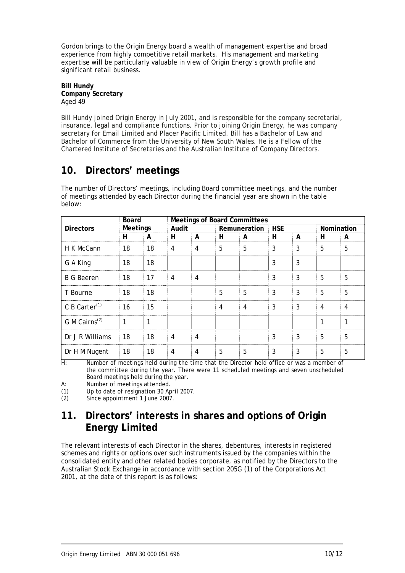Gordon brings to the Origin Energy board a wealth of management expertise and broad experience from highly competitive retail markets. His management and marketing expertise will be particularly valuable in view of Origin Energy's growth profile and significant retail business.

#### **Bill Hundy Company Secretary**  Aged 49

Bill Hundy joined Origin Energy in July 2001, and is responsible for the company secretarial, insurance, legal and compliance functions. Prior to joining Origin Energy, he was company secretary for Email Limited and Placer Pacific Limited. Bill has a Bachelor of Law and Bachelor of Commerce from the University of New South Wales. He is a Fellow of the Chartered Institute of Secretaries and the Australian Institute of Company Directors.

## **10. Directors' meetings**

The number of Directors' meetings, including Board committee meetings, and the number of meetings attended by each Director during the financial year are shown in the table below:

|                           | <b>Board</b>    |    | <b>Meetings of Board Committees</b> |                |                |   |            |              |                |                |
|---------------------------|-----------------|----|-------------------------------------|----------------|----------------|---|------------|--------------|----------------|----------------|
| <b>Directors</b>          | <b>Meetings</b> |    | Audit                               |                | Remuneration   |   | <b>HSE</b> |              | Nomination     |                |
|                           | н               | A  | н                                   | A              | н              | A | н          | A            | н              | A              |
| H K McCann                | 18              | 18 | 4                                   | $\overline{4}$ | 5              | 5 | 3          | 3            | 5              | 5              |
| G A King                  | 18              | 18 |                                     |                |                |   | 3          | $\mathbf{3}$ |                |                |
| <b>B G Beeren</b>         | 18              | 17 | 4                                   | $\overline{4}$ |                |   | 3          | 3            | 5              | 5              |
| T Bourne                  | 18              | 18 |                                     |                | 5              | 5 | 3          | 3            | 5              | 5              |
| C B Carter <sup>(1)</sup> | 16              | 15 |                                     |                | $\overline{4}$ | 4 | 3          | 3            | $\overline{4}$ | $\overline{4}$ |
| G M Cairns <sup>(2)</sup> | 1               | 1  |                                     |                |                |   |            |              | 1              | 1              |
| Dr J R Williams           | 18              | 18 | 4                                   | 4              |                |   | 3          | 3            | 5              | 5              |
| Dr H M Nugent             | 18              | 18 | 4                                   | 4              | 5              | 5 | 3          | 3            | 5              | 5              |

H: Number of meetings held during the time that the Director held office or was a member of the committee during the year. There were 11 scheduled meetings and seven unscheduled Board meetings held during the year.

A: Number of meetings attended.

(1) Up to date of resignation 30 April 2007.<br>(2) Since appointment 1 June 2007.

Since appointment 1 June 2007.

### **11. Directors' interests in shares and options of Origin Energy Limited**

The relevant interests of each Director in the shares, debentures, interests in registered schemes and rights or options over such instruments issued by the companies within the consolidated entity and other related bodies corporate, as notified by the Directors to the Australian Stock Exchange in accordance with section 205G (1) of the Corporations Act 2001, at the date of this report is as follows: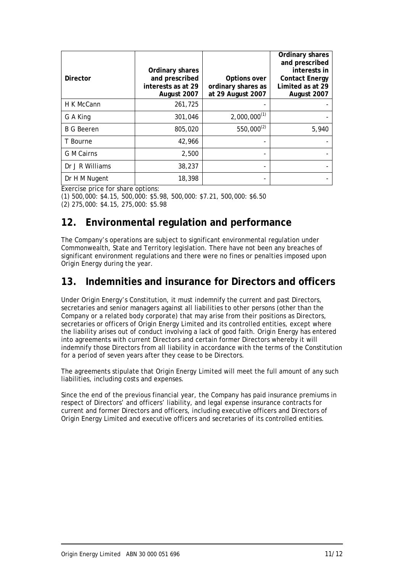| <b>Director</b>   | Ordinary shares<br>and prescribed<br>interests as at 29<br>August 2007 | Options over<br>ordinary shares as<br>at 29 August 2007 | Ordinary shares<br>and prescribed<br>interests in<br><b>Contact Energy</b><br>Limited as at 29<br>August 2007 |
|-------------------|------------------------------------------------------------------------|---------------------------------------------------------|---------------------------------------------------------------------------------------------------------------|
| H K McCann        | 261,725                                                                |                                                         |                                                                                                               |
| G A King          | 301,046                                                                | $2,000,000^{(1)}$                                       |                                                                                                               |
| <b>B G Beeren</b> | 805,020                                                                | $550,000^{(2)}$                                         | 5,940                                                                                                         |
| T Bourne          | 42,966                                                                 |                                                         |                                                                                                               |
| G M Cairns        | 2,500                                                                  |                                                         |                                                                                                               |
| Dr J R Williams   | 38,237                                                                 |                                                         |                                                                                                               |
| Dr H M Nugent     | 18,398                                                                 | $\overline{\phantom{a}}$                                |                                                                                                               |

Exercise price for share options:

(1) 500,000: \$4.15, 500,000: \$5.98, 500,000: \$7.21, 500,000: \$6.50 (2) 275,000: \$4.15, 275,000: \$5.98

### **12. Environmental regulation and performance**

The Company's operations are subject to significant environmental regulation under Commonwealth, State and Territory legislation. There have not been any breaches of significant environment regulations and there were no fines or penalties imposed upon Origin Energy during the year.

### **13. Indemnities and insurance for Directors and officers**

Under Origin Energy's Constitution, it must indemnify the current and past Directors, secretaries and senior managers against all liabilities to other persons (other than the Company or a related body corporate) that may arise from their positions as Directors, secretaries or officers of Origin Energy Limited and its controlled entities, except where the liability arises out of conduct involving a lack of good faith. Origin Energy has entered into agreements with current Directors and certain former Directors whereby it will indemnify those Directors from all liability in accordance with the terms of the Constitution for a period of seven years after they cease to be Directors.

The agreements stipulate that Origin Energy Limited will meet the full amount of any such liabilities, including costs and expenses.

Since the end of the previous financial year, the Company has paid insurance premiums in respect of Directors' and officers' liability, and legal expense insurance contracts for current and former Directors and officers, including executive officers and Directors of Origin Energy Limited and executive officers and secretaries of its controlled entities.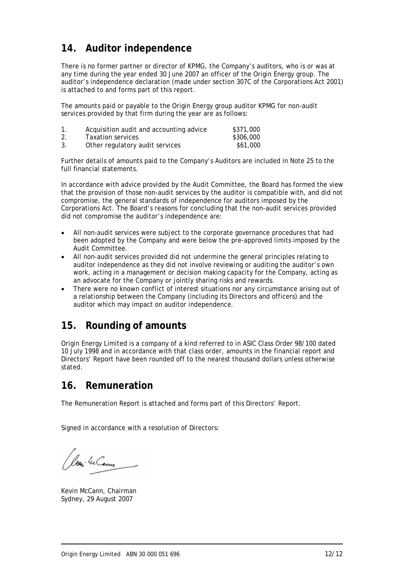### **14. Auditor independence**

There is no former partner or director of KPMG, the Company's auditors, who is or was at any time during the year ended 30 June 2007 an officer of the Origin Energy group. The auditor's independence declaration (made under section 307C of the Corporations Act 2001) is attached to and forms part of this report.

The amounts paid or payable to the Origin Energy group auditor KPMG for non-audit services provided by that firm during the year are as follows:

| 1. | Acquisition audit and accounting advice | \$371,000 |
|----|-----------------------------------------|-----------|
| 2. | Taxation services                       | \$306,000 |
| 3. | Other regulatory audit services         | \$61,000  |

Further details of amounts paid to the Company's Auditors are included in Note 25 to the full financial statements.

In accordance with advice provided by the Audit Committee, the Board has formed the view that the provision of those non-audit services by the auditor is compatible with, and did not compromise, the general standards of independence for auditors imposed by the Corporations Act. The Board's reasons for concluding that the non-audit services provided did not compromise the auditor's independence are:

- All non-audit services were subject to the corporate governance procedures that had been adopted by the Company and were below the pre-approved limits imposed by the Audit Committee.
- All non-audit services provided did not undermine the general principles relating to auditor independence as they did not involve reviewing or auditing the auditor's own work, acting in a management or decision making capacity for the Company, acting as an advocate for the Company or jointly sharing risks and rewards.
- There were no known conflict of interest situations nor any circumstance arising out of a relationship between the Company (including its Directors and officers) and the auditor which may impact on auditor independence.

### **15. Rounding of amounts**

Origin Energy Limited is a company of a kind referred to in ASIC Class Order 98/100 dated 10 July 1998 and in accordance with that class order, amounts in the financial report and Directors' Report have been rounded off to the nearest thousand dollars unless otherwise stated.

### **16. Remuneration**

The Remuneration Report is attached and forms part of this Directors' Report.

Signed in accordance with a resolution of Directors:

Loui lu Cem

Kevin McCann, Chairman Sydney, 29 August 2007